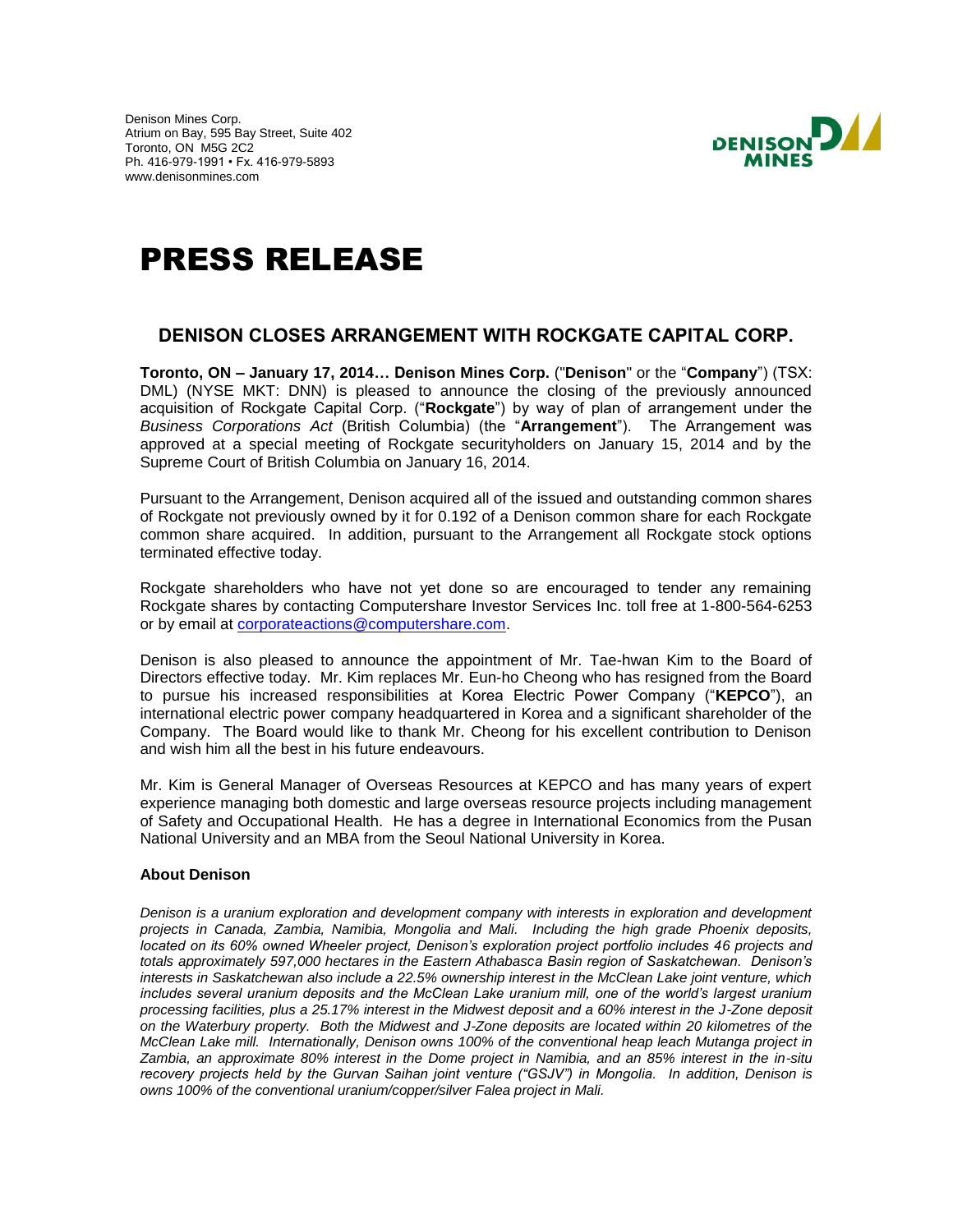Denison Mines Corp. Atrium on Bay, 595 Bay Street, Suite 402 Toronto, ON M5G 2C2 Ph. 416-979-1991 • Fx. 416-979-5893 www.denisonmines.com



# PRESS RELEASE

## **DENISON CLOSES ARRANGEMENT WITH ROCKGATE CAPITAL CORP.**

**Toronto, ON – January 17, 2014… Denison Mines Corp.** ("**Denison**" or the "**Company**") (TSX: DML) (NYSE MKT: DNN) is pleased to announce the closing of the previously announced acquisition of Rockgate Capital Corp. ("**Rockgate**") by way of plan of arrangement under the *Business Corporations Act* (British Columbia) (the "**Arrangement**"). The Arrangement was approved at a special meeting of Rockgate securityholders on January 15, 2014 and by the Supreme Court of British Columbia on January 16, 2014.

Pursuant to the Arrangement, Denison acquired all of the issued and outstanding common shares of Rockgate not previously owned by it for 0.192 of a Denison common share for each Rockgate common share acquired. In addition, pursuant to the Arrangement all Rockgate stock options terminated effective today.

Rockgate shareholders who have not yet done so are encouraged to tender any remaining Rockgate shares by contacting Computershare Investor Services Inc. toll free at 1-800-564-6253 or by email at [corporateactions@computershare.com.](mailto:corporateactions@computershare.com)

Denison is also pleased to announce the appointment of Mr. Tae-hwan Kim to the Board of Directors effective today. Mr. Kim replaces Mr. Eun-ho Cheong who has resigned from the Board to pursue his increased responsibilities at Korea Electric Power Company ("**KEPCO**"), an international electric power company headquartered in Korea and a significant shareholder of the Company. The Board would like to thank Mr. Cheong for his excellent contribution to Denison and wish him all the best in his future endeavours.

Mr. Kim is General Manager of Overseas Resources at KEPCO and has many years of expert experience managing both domestic and large overseas resource projects including management of Safety and Occupational Health. He has a degree in International Economics from the Pusan National University and an MBA from the Seoul National University in Korea.

## **About Denison**

*Denison is a uranium exploration and development company with interests in exploration and development projects in Canada, Zambia, Namibia, Mongolia and Mali. Including the high grade Phoenix deposits, located on its 60% owned Wheeler project, Denison's exploration project portfolio includes 46 projects and totals approximately 597,000 hectares in the Eastern Athabasca Basin region of Saskatchewan. Denison's interests in Saskatchewan also include a 22.5% ownership interest in the McClean Lake joint venture, which includes several uranium deposits and the McClean Lake uranium mill, one of the world's largest uranium processing facilities, plus a 25.17% interest in the Midwest deposit and a 60% interest in the J-Zone deposit on the Waterbury property. Both the Midwest and J-Zone deposits are located within 20 kilometres of the McClean Lake mill. Internationally, Denison owns 100% of the conventional heap leach Mutanga project in Zambia, an approximate 80% interest in the Dome project in Namibia, and an 85% interest in the in-situ recovery projects held by the Gurvan Saihan joint venture ("GSJV") in Mongolia. In addition, Denison is owns 100% of the conventional uranium/copper/silver Falea project in Mali.*